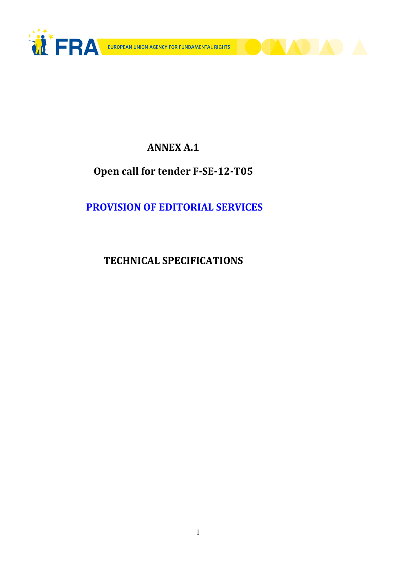

**DAA** 

## ANNEX A.1

# Open call for tender F-SE-12-T05

# PROVISION OF EDITORIAL SERVICES

# TECHNICAL SPECIFICATIONS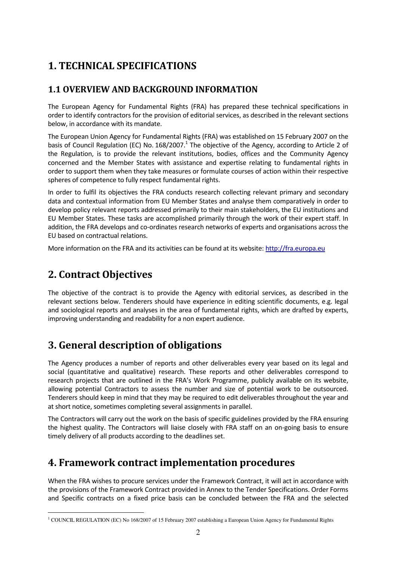# 1. TECHNICAL SPECIFICATIONS

### 1.1 OVERVIEW AND BACKGROUND INFORMATION

The European Agency for Fundamental Rights (FRA) has prepared these technical specifications in order to identify contractors for the provision of editorial services, as described in the relevant sections below, in accordance with its mandate.

The European Union Agency for Fundamental Rights (FRA) was established on 15 February 2007 on the basis of Council Regulation (EC) No. 168/2007.<sup>1</sup> The objective of the Agency, according to Article 2 of the Regulation, is to provide the relevant institutions, bodies, offices and the Community Agency concerned and the Member States with assistance and expertise relating to fundamental rights in order to support them when they take measures or formulate courses of action within their respective spheres of competence to fully respect fundamental rights.

In order to fulfil its objectives the FRA conducts research collecting relevant primary and secondary data and contextual information from EU Member States and analyse them comparatively in order to develop policy relevant reports addressed primarily to their main stakeholders, the EU institutions and EU Member States. These tasks are accomplished primarily through the work of their expert staff. In addition, the FRA develops and co-ordinates research networks of experts and organisations across the EU based on contractual relations.

More information on the FRA and its activities can be found at its website: http://fra.europa.eu

# 2. Contract Objectives

 $\overline{a}$ 

The objective of the contract is to provide the Agency with editorial services, as described in the relevant sections below. Tenderers should have experience in editing scientific documents, e.g. legal and sociological reports and analyses in the area of fundamental rights, which are drafted by experts, improving understanding and readability for a non expert audience.

# 3. General description of obligations

The Agency produces a number of reports and other deliverables every year based on its legal and social (quantitative and qualitative) research. These reports and other deliverables correspond to research projects that are outlined in the FRA's Work Programme, publicly available on its website, allowing potential Contractors to assess the number and size of potential work to be outsourced. Tenderers should keep in mind that they may be required to edit deliverables throughout the year and at short notice, sometimes completing several assignments in parallel.

The Contractors will carry out the work on the basis of specific guidelines provided by the FRA ensuring the highest quality. The Contractors will liaise closely with FRA staff on an on-going basis to ensure timely delivery of all products according to the deadlines set.

## 4. Framework contract implementation procedures

When the FRA wishes to procure services under the Framework Contract, it will act in accordance with the provisions of the Framework Contract provided in Annex to the Tender Specifications. Order Forms and Specific contracts on a fixed price basis can be concluded between the FRA and the selected

<sup>&</sup>lt;sup>1</sup> COUNCIL REGULATION (EC) No 168/2007 of 15 February 2007 establishing a European Union Agency for Fundamental Rights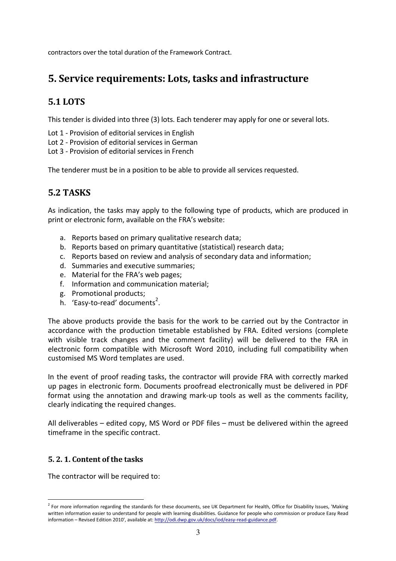contractors over the total duration of the Framework Contract.

### 5. Service requirements: Lots, tasks and infrastructure

### 5.1 LOTS

This tender is divided into three (3) lots. Each tenderer may apply for one or several lots.

- Lot 1 Provision of editorial services in English
- Lot 2 Provision of editorial services in German
- Lot 3 Provision of editorial services in French

The tenderer must be in a position to be able to provide all services requested.

### 5.2 TASKS

As indication, the tasks may apply to the following type of products, which are produced in print or electronic form, available on the FRA's website:

- a. Reports based on primary qualitative research data;
- b. Reports based on primary quantitative (statistical) research data;
- c. Reports based on review and analysis of secondary data and information;
- d. Summaries and executive summaries;
- e. Material for the FRA's web pages;
- f. Information and communication material;
- g. Promotional products;
- b. 'Easy-to-read' documents<sup>2</sup>.

The above products provide the basis for the work to be carried out by the Contractor in accordance with the production timetable established by FRA. Edited versions (complete with visible track changes and the comment facility) will be delivered to the FRA in electronic form compatible with Microsoft Word 2010, including full compatibility when customised MS Word templates are used.

In the event of proof reading tasks, the contractor will provide FRA with correctly marked up pages in electronic form. Documents proofread electronically must be delivered in PDF format using the annotation and drawing mark-up tools as well as the comments facility, clearly indicating the required changes.

All deliverables – edited copy, MS Word or PDF files – must be delivered within the agreed timeframe in the specific contract.

#### 5. 2. 1. Content of the tasks

The contractor will be required to:

 2 For more information regarding the standards for these documents, see UK Department for Health, Office for Disability Issues, 'Making written information easier to understand for people with learning disabilities. Guidance for people who commission or produce Easy Read information – Revised Edition 2010', available at: http://odi.dwp.gov.uk/docs/iod/easy-read-guidance.pdf.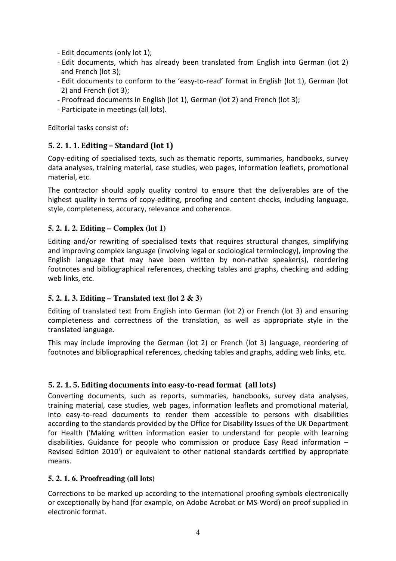- Edit documents (only lot 1);
- Edit documents, which has already been translated from English into German (lot 2) and French (lot 3);
- Edit documents to conform to the 'easy-to-read' format in English (lot 1), German (lot 2) and French (lot 3);
- Proofread documents in English (lot 1), German (lot 2) and French (lot 3);
- Participate in meetings (all lots).

Editorial tasks consist of:

#### 5. 2. 1. 1. Editing – Standard (lot 1)

Copy-editing of specialised texts, such as thematic reports, summaries, handbooks, survey data analyses, training material, case studies, web pages, information leaflets, promotional material, etc.

The contractor should apply quality control to ensure that the deliverables are of the highest quality in terms of copy-editing, proofing and content checks, including language, style, completeness, accuracy, relevance and coherence.

#### **5. 2. 1. 2. Editing – Complex (lot 1)**

Editing and/or rewriting of specialised texts that requires structural changes, simplifying and improving complex language (involving legal or sociological terminology), improving the English language that may have been written by non-native speaker(s), reordering footnotes and bibliographical references, checking tables and graphs, checking and adding web links, etc.

#### **5. 2. 1. 3. Editing – Translated text (lot 2 & 3)**

Editing of translated text from English into German (lot 2) or French (lot 3) and ensuring completeness and correctness of the translation, as well as appropriate style in the translated language.

This may include improving the German (lot 2) or French (lot 3) language, reordering of footnotes and bibliographical references, checking tables and graphs, adding web links, etc.

#### 5. 2. 1. 5. Editing documents into easy-to-read format (all lots)

Converting documents, such as reports, summaries, handbooks, survey data analyses, training material, case studies, web pages, information leaflets and promotional material, into easy-to-read documents to render them accessible to persons with disabilities according to the standards provided by the Office for Disability Issues of the UK Department for Health ('Making written information easier to understand for people with learning disabilities. Guidance for people who commission or produce Easy Read information – Revised Edition 2010') or equivalent to other national standards certified by appropriate means.

#### **5. 2. 1. 6. Proofreading (all lots)**

Corrections to be marked up according to the international proofing symbols electronically or exceptionally by hand (for example, on Adobe Acrobat or MS-Word) on proof supplied in electronic format.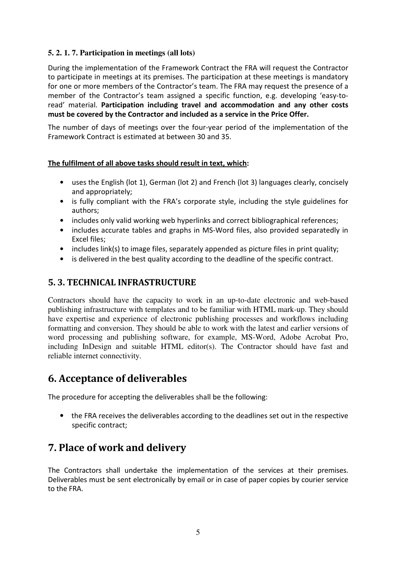#### **5. 2. 1. 7. Participation in meetings (all lots)**

During the implementation of the Framework Contract the FRA will request the Contractor to participate in meetings at its premises. The participation at these meetings is mandatory for one or more members of the Contractor's team. The FRA may request the presence of a member of the Contractor's team assigned a specific function, e.g. developing 'easy-toread' material. Participation including travel and accommodation and any other costs must be covered by the Contractor and included as a service in the Price Offer.

The number of days of meetings over the four-year period of the implementation of the Framework Contract is estimated at between 30 and 35.

#### The fulfilment of all above tasks should result in text, which:

- uses the English (lot 1), German (lot 2) and French (lot 3) languages clearly, concisely and appropriately;
- is fully compliant with the FRA's corporate style, including the style guidelines for authors;
- includes only valid working web hyperlinks and correct bibliographical references;
- includes accurate tables and graphs in MS-Word files, also provided separatedly in Excel files;
- includes link(s) to image files, separately appended as picture files in print quality;
- is delivered in the best quality according to the deadline of the specific contract.

### 5. 3. TECHNICAL INFRASTRUCTURE

Contractors should have the capacity to work in an up-to-date electronic and web-based publishing infrastructure with templates and to be familiar with HTML mark-up. They should have expertise and experience of electronic publishing processes and workflows including formatting and conversion. They should be able to work with the latest and earlier versions of word processing and publishing software, for example, MS-Word, Adobe Acrobat Pro, including InDesign and suitable HTML editor(s). The Contractor should have fast and reliable internet connectivity.

### 6. Acceptance of deliverables

The procedure for accepting the deliverables shall be the following:

• the FRA receives the deliverables according to the deadlines set out in the respective specific contract;

## 7. Place of work and delivery

The Contractors shall undertake the implementation of the services at their premises. Deliverables must be sent electronically by email or in case of paper copies by courier service to the FRA.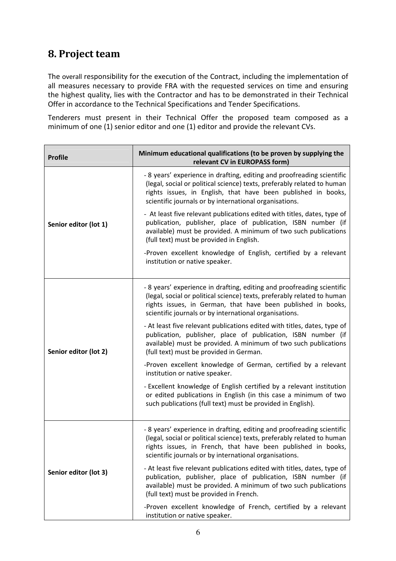## 8. Project team

The overall responsibility for the execution of the Contract, including the implementation of all measures necessary to provide FRA with the requested services on time and ensuring the highest quality, lies with the Contractor and has to be demonstrated in their Technical Offer in accordance to the Technical Specifications and Tender Specifications.

Tenderers must present in their Technical Offer the proposed team composed as a minimum of one (1) senior editor and one (1) editor and provide the relevant CVs.

| <b>Profile</b>        | Minimum educational qualifications (to be proven by supplying the<br>relevant CV in EUROPASS form)                                                                                                                                                                           |
|-----------------------|------------------------------------------------------------------------------------------------------------------------------------------------------------------------------------------------------------------------------------------------------------------------------|
| Senior editor (lot 1) | - 8 years' experience in drafting, editing and proofreading scientific<br>(legal, social or political science) texts, preferably related to human<br>rights issues, in English, that have been published in books,<br>scientific journals or by international organisations. |
|                       | - At least five relevant publications edited with titles, dates, type of<br>publication, publisher, place of publication, ISBN number (if<br>available) must be provided. A minimum of two such publications<br>(full text) must be provided in English.                     |
|                       | -Proven excellent knowledge of English, certified by a relevant<br>institution or native speaker.                                                                                                                                                                            |
| Senior editor (lot 2) | - 8 years' experience in drafting, editing and proofreading scientific<br>(legal, social or political science) texts, preferably related to human<br>rights issues, in German, that have been published in books,<br>scientific journals or by international organisations.  |
|                       | - At least five relevant publications edited with titles, dates, type of<br>publication, publisher, place of publication, ISBN number (if<br>available) must be provided. A minimum of two such publications<br>(full text) must be provided in German.                      |
|                       | -Proven excellent knowledge of German, certified by a relevant<br>institution or native speaker.                                                                                                                                                                             |
|                       | - Excellent knowledge of English certified by a relevant institution<br>or edited publications in English (in this case a minimum of two<br>such publications (full text) must be provided in English).                                                                      |
|                       | - 8 years' experience in drafting, editing and proofreading scientific<br>(legal, social or political science) texts, preferably related to human<br>rights issues, in French, that have been published in books,<br>scientific journals or by international organisations.  |
| Senior editor (lot 3) | - At least five relevant publications edited with titles, dates, type of<br>publication, publisher, place of publication, ISBN number (if<br>available) must be provided. A minimum of two such publications<br>(full text) must be provided in French.                      |
|                       | -Proven excellent knowledge of French, certified by a relevant<br>institution or native speaker.                                                                                                                                                                             |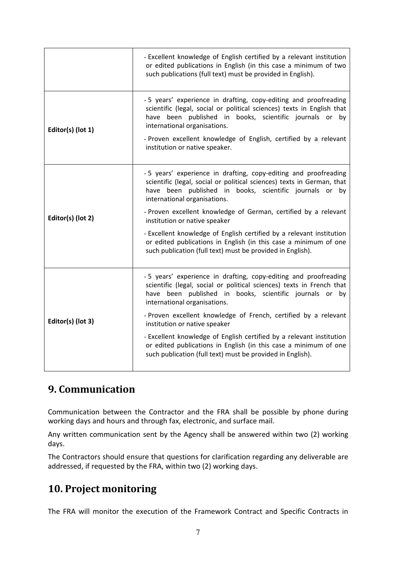|                   | - Excellent knowledge of English certified by a relevant institution<br>or edited publications in English (in this case a minimum of two<br>such publications (full text) must be provided in English).                                                                                                                                                                                                                                                                                                                                            |
|-------------------|----------------------------------------------------------------------------------------------------------------------------------------------------------------------------------------------------------------------------------------------------------------------------------------------------------------------------------------------------------------------------------------------------------------------------------------------------------------------------------------------------------------------------------------------------|
| Editor(s) (lot 1) | -5 years' experience in drafting, copy-editing and proofreading<br>scientific (legal, social or political sciences) texts in English that<br>have been published in books, scientific journals or by<br>international organisations.<br>- Proven excellent knowledge of English, certified by a relevant<br>institution or native speaker.                                                                                                                                                                                                         |
| Editor(s) (lot 2) | -5 years' experience in drafting, copy-editing and proofreading<br>scientific (legal, social or political sciences) texts in German, that<br>have been published in books, scientific journals or by<br>international organisations.<br>- Proven excellent knowledge of German, certified by a relevant<br>institution or native speaker<br>- Excellent knowledge of English certified by a relevant institution<br>or edited publications in English (in this case a minimum of one<br>such publication (full text) must be provided in English). |
| Editor(s) (lot 3) | -5 years' experience in drafting, copy-editing and proofreading<br>scientific (legal, social or political sciences) texts in French that<br>have been published in books, scientific journals or by<br>international organisations.<br>- Proven excellent knowledge of French, certified by a relevant<br>institution or native speaker<br>- Excellent knowledge of English certified by a relevant institution<br>or edited publications in English (in this case a minimum of one<br>such publication (full text) must be provided in English).  |

# 9. Communication

Communication between the Contractor and the FRA shall be possible by phone during working days and hours and through fax, electronic, and surface mail.

Any written communication sent by the Agency shall be answered within two (2) working days.

The Contractors should ensure that questions for clarification regarding any deliverable are addressed, if requested by the FRA, within two (2) working days.

## 10. Project monitoring

The FRA will monitor the execution of the Framework Contract and Specific Contracts in